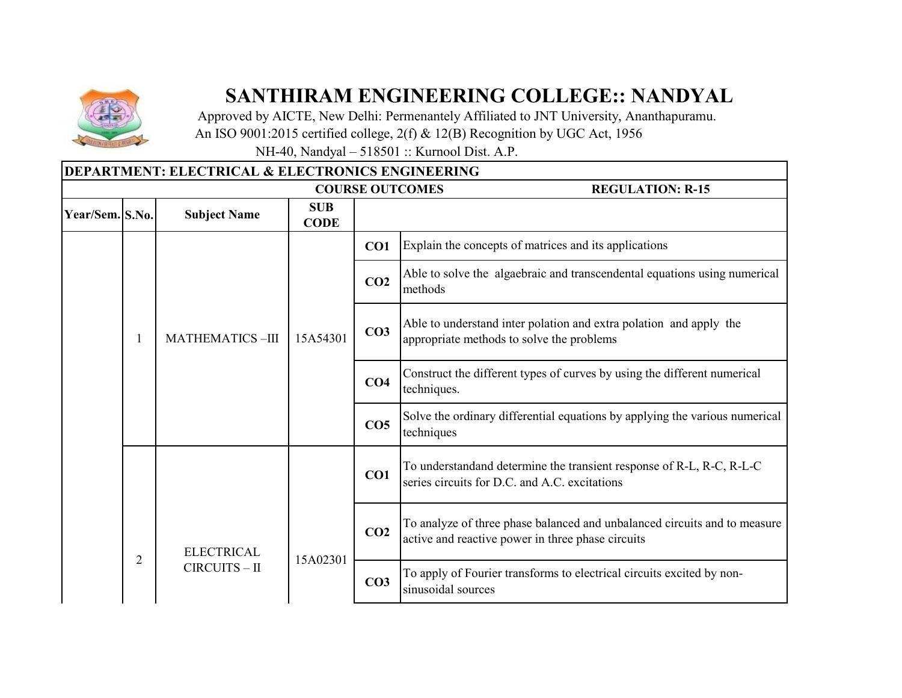

## **SANTHIRAM ENGINEERING COLLEGE:: NANDYAL**

┑

 Approved by AICTE, New Delhi: Permenantely Affiliated to JNT University, Ananthapuramu. An ISO 9001:2015 certified college, 2(f) & 12(B) Recognition by UGC Act, 1956

NH-40, Nandyal – 518501 :: Kurnool Dist. A.P.

|                 |   | <b>DEPARTMENT: ELECTRICAL &amp; ELECTRONICS ENGINEERING</b> |                           |                 |                                                                                                                                |
|-----------------|---|-------------------------------------------------------------|---------------------------|-----------------|--------------------------------------------------------------------------------------------------------------------------------|
|                 |   |                                                             |                           |                 | <b>COURSE OUTCOMES</b><br><b>REGULATION: R-15</b>                                                                              |
| Year/Sem. S.No. |   | <b>Subject Name</b>                                         | <b>SUB</b><br><b>CODE</b> |                 |                                                                                                                                |
|                 |   |                                                             |                           | CO1             | Explain the concepts of matrices and its applications                                                                          |
|                 |   |                                                             | 15A54301                  | CO <sub>2</sub> | Able to solve the algaebraic and transcendental equations using numerical<br>methods                                           |
|                 |   | <b>MATHEMATICS-III</b>                                      |                           | CO <sub>3</sub> | Able to understand inter polation and extra polation and apply the<br>appropriate methods to solve the problems                |
|                 |   |                                                             |                           | CO <sub>4</sub> | Construct the different types of curves by using the different numerical<br>techniques.                                        |
|                 |   |                                                             |                           | CO <sub>5</sub> | Solve the ordinary differential equations by applying the various numerical<br>techniques                                      |
|                 |   |                                                             |                           | CO1             | To understandand determine the transient response of R-L, R-C, R-L-C<br>series circuits for D.C. and A.C. excitations          |
|                 |   | <b>ELECTRICAL</b><br>CIRCUITS - II                          | 15A02301                  | CO <sub>2</sub> | To analyze of three phase balanced and unbalanced circuits and to measure<br>active and reactive power in three phase circuits |
|                 | 2 |                                                             |                           | CO <sub>3</sub> | To apply of Fourier transforms to electrical circuits excited by non-<br>sinusoidal sources                                    |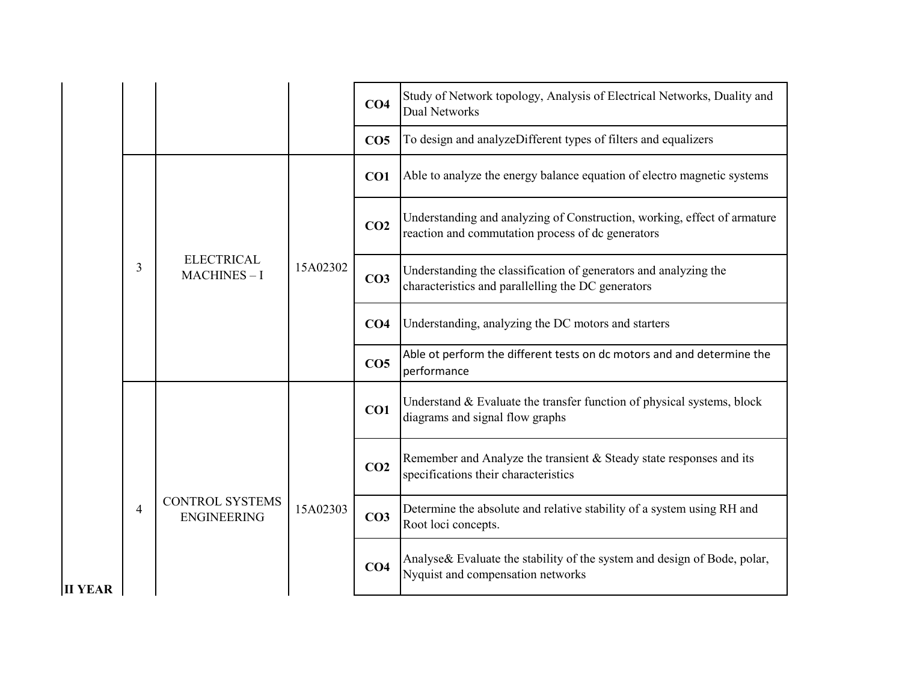|                |                |                                              |          | CO <sub>4</sub> | Study of Network topology, Analysis of Electrical Networks, Duality and<br><b>Dual Networks</b>                               |
|----------------|----------------|----------------------------------------------|----------|-----------------|-------------------------------------------------------------------------------------------------------------------------------|
|                |                |                                              |          | CO <sub>5</sub> | To design and analyzeDifferent types of filters and equalizers                                                                |
|                |                |                                              |          | CO1             | Able to analyze the energy balance equation of electro magnetic systems                                                       |
|                |                |                                              | 15A02302 | CO <sub>2</sub> | Understanding and analyzing of Construction, working, effect of armature<br>reaction and commutation process of dc generators |
|                | 3              | <b>ELECTRICAL</b><br>$MACHINES - I$          |          | CO <sub>3</sub> | Understanding the classification of generators and analyzing the<br>characteristics and parallelling the DC generators        |
|                |                |                                              |          | CO <sub>4</sub> | Understanding, analyzing the DC motors and starters                                                                           |
|                |                |                                              |          | CO <sub>5</sub> | Able ot perform the different tests on dc motors and and determine the<br>performance                                         |
|                |                | <b>CONTROL SYSTEMS</b><br><b>ENGINEERING</b> | 15A02303 | CO1             | Understand & Evaluate the transfer function of physical systems, block<br>diagrams and signal flow graphs                     |
|                |                |                                              |          | CO <sub>2</sub> | Remember and Analyze the transient & Steady state responses and its<br>specifications their characteristics                   |
|                | $\overline{4}$ |                                              |          | CO <sub>3</sub> | Determine the absolute and relative stability of a system using RH and<br>Root loci concepts.                                 |
| <b>II YEAR</b> |                |                                              |          | CO <sub>4</sub> | Analyse& Evaluate the stability of the system and design of Bode, polar,<br>Nyquist and compensation networks                 |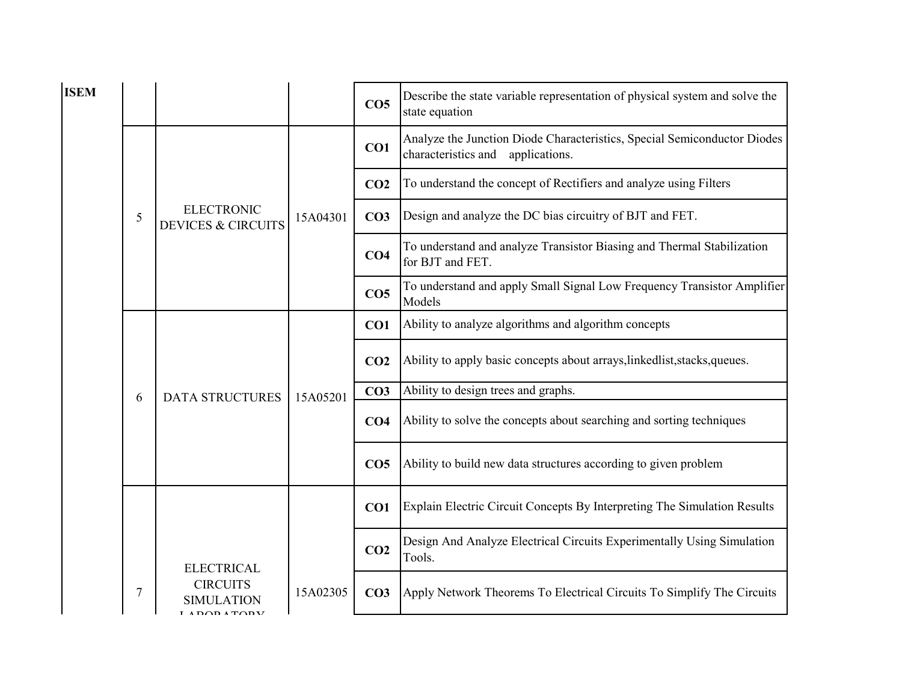| <b>ISEM</b> |   |                                                                  |          | CO <sub>5</sub> | Describe the state variable representation of physical system and solve the<br>state equation                 |
|-------------|---|------------------------------------------------------------------|----------|-----------------|---------------------------------------------------------------------------------------------------------------|
|             |   |                                                                  |          | CO1             | Analyze the Junction Diode Characteristics, Special Semiconductor Diodes<br>characteristics and applications. |
|             |   |                                                                  |          | CO <sub>2</sub> | To understand the concept of Rectifiers and analyze using Filters                                             |
|             | 5 | <b>ELECTRONIC</b><br><b>DEVICES &amp; CIRCUITS</b>               | 15A04301 | CO <sub>3</sub> | Design and analyze the DC bias circuitry of BJT and FET.                                                      |
|             |   |                                                                  |          | CO <sub>4</sub> | To understand and analyze Transistor Biasing and Thermal Stabilization<br>for BJT and FET.                    |
|             |   |                                                                  |          | CO <sub>5</sub> | To understand and apply Small Signal Low Frequency Transistor Amplifier<br>Models                             |
|             |   |                                                                  |          | CO <sub>1</sub> | Ability to analyze algorithms and algorithm concepts                                                          |
|             |   |                                                                  |          | CO <sub>2</sub> | Ability to apply basic concepts about arrays, linkedlist, stacks, queues.                                     |
|             | 6 | <b>DATA STRUCTURES</b>                                           | 15A05201 | CO <sub>3</sub> | Ability to design trees and graphs.                                                                           |
|             |   |                                                                  |          | CO <sub>4</sub> | Ability to solve the concepts about searching and sorting techniques                                          |
|             |   |                                                                  |          | CO <sub>5</sub> | Ability to build new data structures according to given problem                                               |
|             |   |                                                                  |          | CO <sub>1</sub> | Explain Electric Circuit Concepts By Interpreting The Simulation Results                                      |
|             |   | <b>ELECTRICAL</b>                                                |          | CO <sub>2</sub> | Design And Analyze Electrical Circuits Experimentally Using Simulation<br>Tools.                              |
|             | 7 | <b>CIRCUITS</b><br>$D$ $\cap$ $D$ $\wedge$ $T$ $\cap$ $D$ $\vee$ | 15A02305 | CO <sub>3</sub> | Apply Network Theorems To Electrical Circuits To Simplify The Circuits                                        |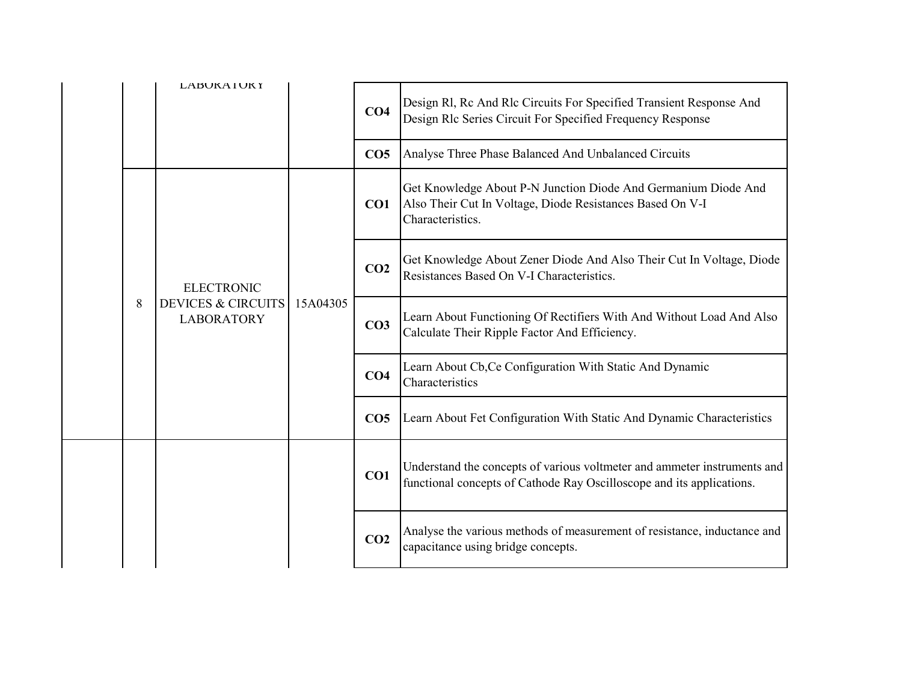|  |   | <b>LABUKAIUKY</b>                                                       |          | CO <sub>4</sub> | Design Rl, Rc And Rlc Circuits For Specified Transient Response And<br>Design Rlc Series Circuit For Specified Frequency Response                 |
|--|---|-------------------------------------------------------------------------|----------|-----------------|---------------------------------------------------------------------------------------------------------------------------------------------------|
|  |   |                                                                         |          | CO <sub>5</sub> | Analyse Three Phase Balanced And Unbalanced Circuits                                                                                              |
|  |   |                                                                         | 15A04305 | CO1             | Get Knowledge About P-N Junction Diode And Germanium Diode And<br>Also Their Cut In Voltage, Diode Resistances Based On V-I<br>Characteristics.   |
|  |   | <b>ELECTRONIC</b><br><b>DEVICES &amp; CIRCUITS</b><br><b>LABORATORY</b> |          | CO <sub>2</sub> | Get Knowledge About Zener Diode And Also Their Cut In Voltage, Diode<br>Resistances Based On V-I Characteristics.                                 |
|  | 8 |                                                                         |          | CO <sub>3</sub> | Learn About Functioning Of Rectifiers With And Without Load And Also<br>Calculate Their Ripple Factor And Efficiency.                             |
|  |   |                                                                         |          | CO <sub>4</sub> | Learn About Cb, Ce Configuration With Static And Dynamic<br>Characteristics                                                                       |
|  |   |                                                                         |          | CO <sub>5</sub> | Learn About Fet Configuration With Static And Dynamic Characteristics                                                                             |
|  |   |                                                                         |          | CO1             | Understand the concepts of various voltmeter and ammeter instruments and<br>functional concepts of Cathode Ray Oscilloscope and its applications. |
|  |   |                                                                         |          | CO <sub>2</sub> | Analyse the various methods of measurement of resistance, inductance and<br>capacitance using bridge concepts.                                    |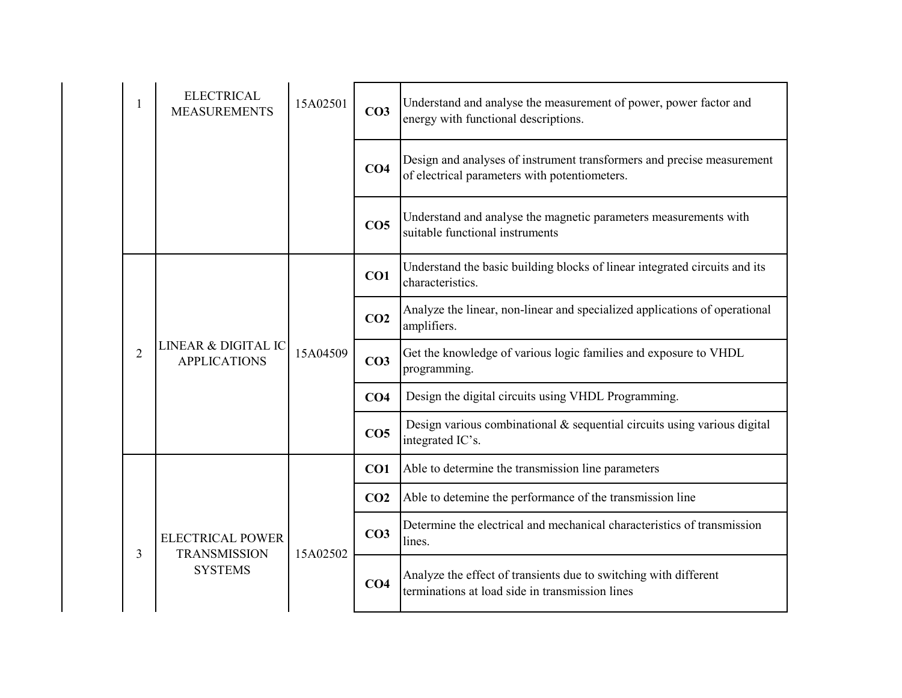|                | <b>ELECTRICAL</b><br><b>MEASUREMENTS</b>       | 15A02501 | CO <sub>3</sub> | Understand and analyse the measurement of power, power factor and<br>energy with functional descriptions.               |
|----------------|------------------------------------------------|----------|-----------------|-------------------------------------------------------------------------------------------------------------------------|
|                |                                                |          | CO <sub>4</sub> | Design and analyses of instrument transformers and precise measurement<br>of electrical parameters with potentiometers. |
|                |                                                |          | CO <sub>5</sub> | Understand and analyse the magnetic parameters measurements with<br>suitable functional instruments                     |
|                |                                                |          | CO1             | Understand the basic building blocks of linear integrated circuits and its<br>characteristics.                          |
|                | LINEAR & DIGITAL IC<br><b>APPLICATIONS</b>     | 15A04509 | CO <sub>2</sub> | Analyze the linear, non-linear and specialized applications of operational<br>amplifiers.                               |
| $\overline{2}$ |                                                |          | CO <sub>3</sub> | Get the knowledge of various logic families and exposure to VHDL<br>programming.                                        |
|                |                                                |          | CO <sub>4</sub> | Design the digital circuits using VHDL Programming.                                                                     |
|                |                                                |          | CO <sub>5</sub> | Design various combinational $\&$ sequential circuits using various digital<br>integrated IC's.                         |
|                |                                                |          | CO1             | Able to determine the transmission line parameters                                                                      |
|                |                                                |          | CO <sub>2</sub> | Able to detemine the performance of the transmission line                                                               |
| 3              | <b>ELECTRICAL POWER</b><br><b>TRANSMISSION</b> | 15A02502 | CO <sub>3</sub> | Determine the electrical and mechanical characteristics of transmission<br>lines.                                       |
|                | <b>SYSTEMS</b>                                 |          | CO <sub>4</sub> | Analyze the effect of transients due to switching with different<br>terminations at load side in transmission lines     |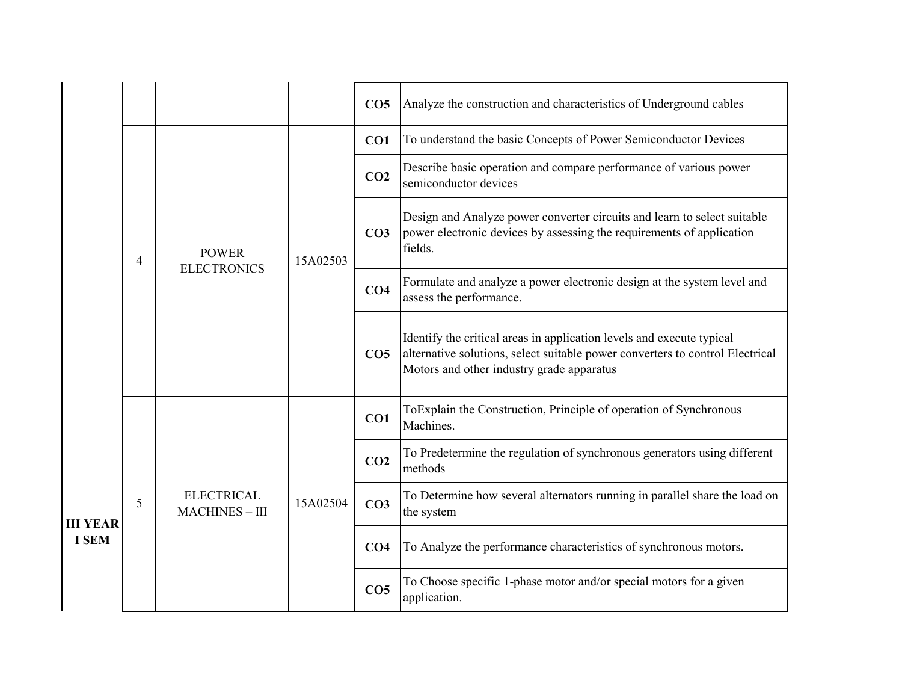|                 |   |                                          |          | CO <sub>5</sub> | Analyze the construction and characteristics of Underground cables                                                                                                                                  |
|-----------------|---|------------------------------------------|----------|-----------------|-----------------------------------------------------------------------------------------------------------------------------------------------------------------------------------------------------|
|                 |   |                                          |          | CO1             | To understand the basic Concepts of Power Semiconductor Devices                                                                                                                                     |
|                 |   |                                          |          | CO <sub>2</sub> | Describe basic operation and compare performance of various power<br>semiconductor devices                                                                                                          |
|                 | 4 | <b>POWER</b><br><b>ELECTRONICS</b>       | 15A02503 | CO <sub>3</sub> | Design and Analyze power converter circuits and learn to select suitable<br>power electronic devices by assessing the requirements of application<br>fields.                                        |
|                 |   |                                          |          | CO <sub>4</sub> | Formulate and analyze a power electronic design at the system level and<br>assess the performance.                                                                                                  |
|                 |   |                                          |          | CO <sub>5</sub> | Identify the critical areas in application levels and execute typical<br>alternative solutions, select suitable power converters to control Electrical<br>Motors and other industry grade apparatus |
|                 |   | <b>ELECTRICAL</b><br><b>MACHINES-III</b> | 15A02504 | CO <sub>1</sub> | ToExplain the Construction, Principle of operation of Synchronous<br>Machines.                                                                                                                      |
|                 |   |                                          |          | CO <sub>2</sub> | To Predetermine the regulation of synchronous generators using different<br>methods                                                                                                                 |
| <b>III YEAR</b> | 5 |                                          |          | CO <sub>3</sub> | To Determine how several alternators running in parallel share the load on<br>the system                                                                                                            |
| <b>I SEM</b>    |   |                                          |          | CO <sub>4</sub> | To Analyze the performance characteristics of synchronous motors.                                                                                                                                   |
|                 |   |                                          |          | CO <sub>5</sub> | To Choose specific 1-phase motor and/or special motors for a given<br>application.                                                                                                                  |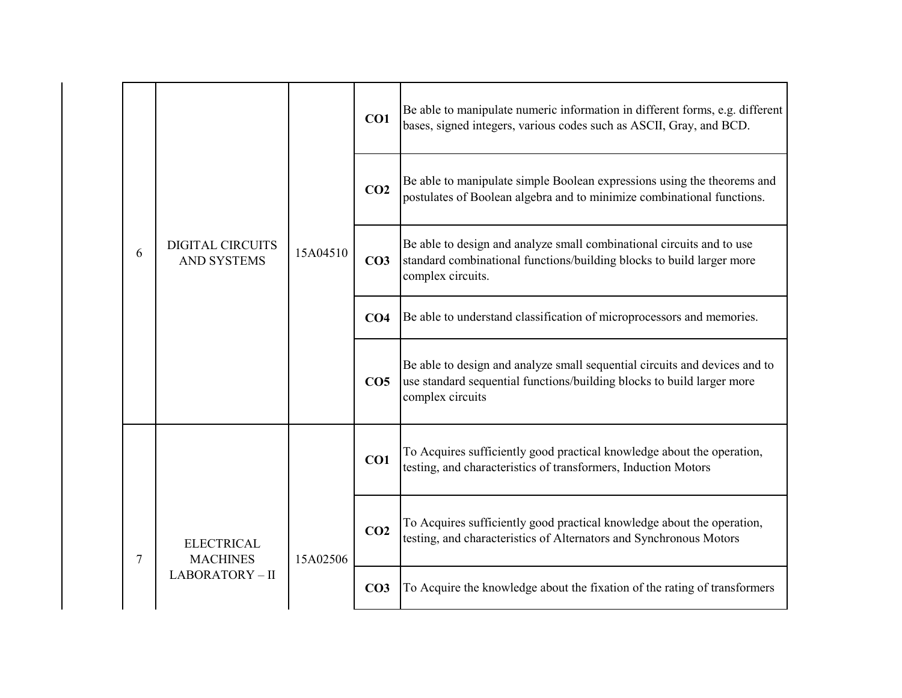|   |                                               | 15A04510 | CO1             | Be able to manipulate numeric information in different forms, e.g. different<br>bases, signed integers, various codes such as ASCII, Gray, and BCD.                      |
|---|-----------------------------------------------|----------|-----------------|--------------------------------------------------------------------------------------------------------------------------------------------------------------------------|
|   |                                               |          | CO <sub>2</sub> | Be able to manipulate simple Boolean expressions using the theorems and<br>postulates of Boolean algebra and to minimize combinational functions.                        |
| 6 | <b>DIGITAL CIRCUITS</b><br><b>AND SYSTEMS</b> |          | CO <sub>3</sub> | Be able to design and analyze small combinational circuits and to use<br>standard combinational functions/building blocks to build larger more<br>complex circuits.      |
|   |                                               |          | CO <sub>4</sub> | Be able to understand classification of microprocessors and memories.                                                                                                    |
|   |                                               |          | CO <sub>5</sub> | Be able to design and analyze small sequential circuits and devices and to<br>use standard sequential functions/building blocks to build larger more<br>complex circuits |
|   |                                               |          | CO1             | To Acquires sufficiently good practical knowledge about the operation,<br>testing, and characteristics of transformers, Induction Motors                                 |
| 7 | <b>ELECTRICAL</b><br><b>MACHINES</b>          | 15A02506 | CO <sub>2</sub> | To Acquires sufficiently good practical knowledge about the operation,<br>testing, and characteristics of Alternators and Synchronous Motors                             |
|   | LABORATORY-II                                 |          | CO <sub>3</sub> | To Acquire the knowledge about the fixation of the rating of transformers                                                                                                |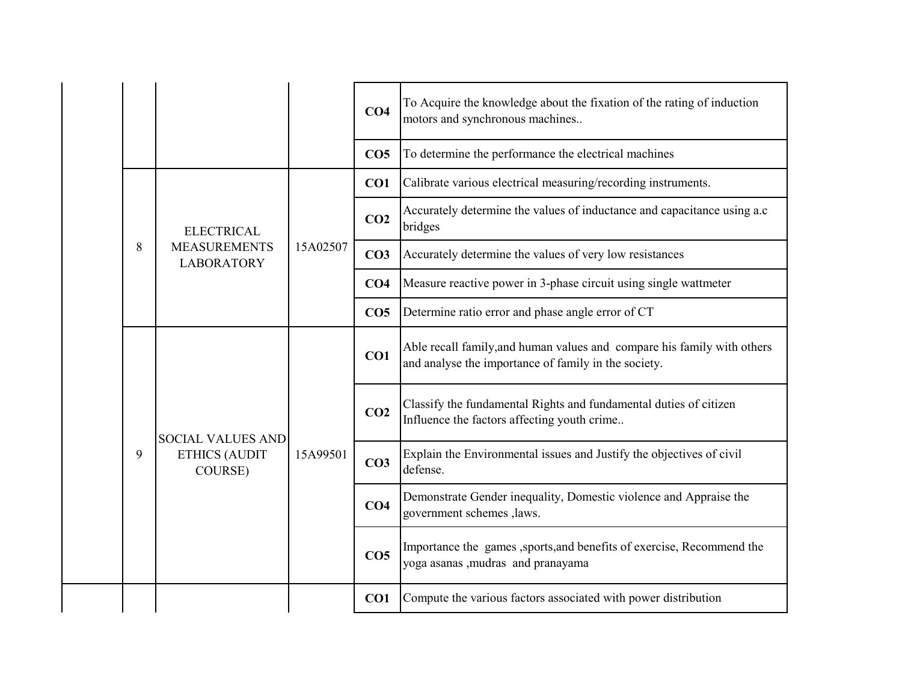|  |   |                                                             |          | CO <sub>4</sub> | To Acquire the knowledge about the fixation of the rating of induction<br>motors and synchronous machines                       |
|--|---|-------------------------------------------------------------|----------|-----------------|---------------------------------------------------------------------------------------------------------------------------------|
|  |   |                                                             |          | CO <sub>5</sub> | To determine the performance the electrical machines                                                                            |
|  |   |                                                             |          | CO1             | Calibrate various electrical measuring/recording instruments.                                                                   |
|  | 8 | <b>ELECTRICAL</b>                                           | 15A02507 | CO <sub>2</sub> | Accurately determine the values of inductance and capacitance using a.c<br>bridges                                              |
|  |   | <b>MEASUREMENTS</b><br><b>LABORATORY</b>                    |          | CO <sub>3</sub> | Accurately determine the values of very low resistances                                                                         |
|  |   |                                                             |          | CO <sub>4</sub> | Measure reactive power in 3-phase circuit using single wattmeter                                                                |
|  |   |                                                             |          | CO <sub>5</sub> | Determine ratio error and phase angle error of CT                                                                               |
|  |   | <b>SOCIAL VALUES AND</b><br><b>ETHICS (AUDIT</b><br>COURSE) | 15A99501 | CO1             | Able recall family, and human values and compare his family with others<br>and analyse the importance of family in the society. |
|  |   |                                                             |          | CO <sub>2</sub> | Classify the fundamental Rights and fundamental duties of citizen<br>Influence the factors affecting youth crime                |
|  | 9 |                                                             |          | CO <sub>3</sub> | Explain the Environmental issues and Justify the objectives of civil<br>defense.                                                |
|  |   |                                                             |          | CO <sub>4</sub> | Demonstrate Gender inequality, Domestic violence and Appraise the<br>government schemes , laws.                                 |
|  |   |                                                             |          | CO <sub>5</sub> | Importance the games , sports, and benefits of exercise, Recommend the<br>yoga asanas ,mudras and pranayama                     |
|  |   |                                                             |          | CO <sub>1</sub> | Compute the various factors associated with power distribution                                                                  |

 $\overline{\phantom{a}}$ 

 $\overline{\phantom{0}}$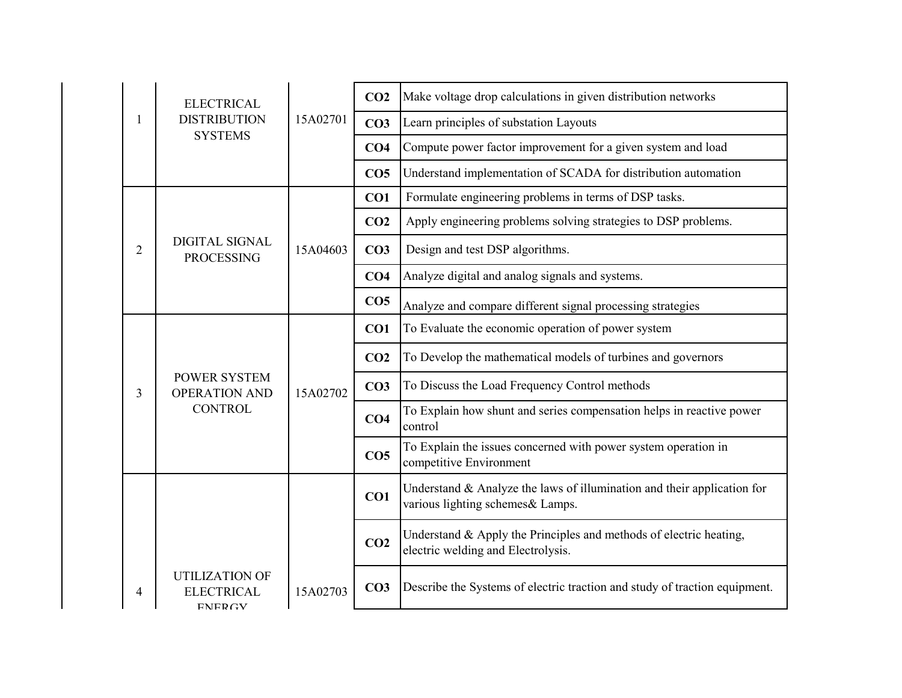|                | <b>ELECTRICAL</b>                                             |          | CO <sub>2</sub> | Make voltage drop calculations in given distribution networks                                                  |
|----------------|---------------------------------------------------------------|----------|-----------------|----------------------------------------------------------------------------------------------------------------|
| 1              | <b>DISTRIBUTION</b>                                           | 15A02701 | CO <sub>3</sub> | Learn principles of substation Layouts                                                                         |
|                | <b>SYSTEMS</b>                                                |          | CO <sub>4</sub> | Compute power factor improvement for a given system and load                                                   |
|                |                                                               |          | CO <sub>5</sub> | Understand implementation of SCADA for distribution automation                                                 |
|                |                                                               |          | CO1             | Formulate engineering problems in terms of DSP tasks.                                                          |
|                |                                                               |          | CO <sub>2</sub> | Apply engineering problems solving strategies to DSP problems.                                                 |
| $\overline{2}$ | <b>DIGITAL SIGNAL</b><br><b>PROCESSING</b>                    | 15A04603 | CO <sub>3</sub> | Design and test DSP algorithms.                                                                                |
|                |                                                               |          | CO <sub>4</sub> | Analyze digital and analog signals and systems.                                                                |
|                |                                                               |          | CO <sub>5</sub> | Analyze and compare different signal processing strategies                                                     |
|                | <b>POWER SYSTEM</b><br><b>OPERATION AND</b><br><b>CONTROL</b> | 15A02702 | CO1             | To Evaluate the economic operation of power system                                                             |
|                |                                                               |          | CO <sub>2</sub> | To Develop the mathematical models of turbines and governors                                                   |
| 3              |                                                               |          | CO <sub>3</sub> | To Discuss the Load Frequency Control methods                                                                  |
|                |                                                               |          | CO <sub>4</sub> | To Explain how shunt and series compensation helps in reactive power<br>control                                |
|                |                                                               |          | CO <sub>5</sub> | To Explain the issues concerned with power system operation in<br>competitive Environment                      |
|                |                                                               |          | CO1             | Understand $\&$ Analyze the laws of illumination and their application for<br>various lighting schemes& Lamps. |
|                |                                                               |          | CO <sub>2</sub> | Understand & Apply the Principles and methods of electric heating,<br>electric welding and Electrolysis.       |
| 4              | <b>UTILIZATION OF</b><br><b>ELECTRICAL</b><br><b>ENERGY</b>   | 15A02703 | CO <sub>3</sub> | Describe the Systems of electric traction and study of traction equipment.                                     |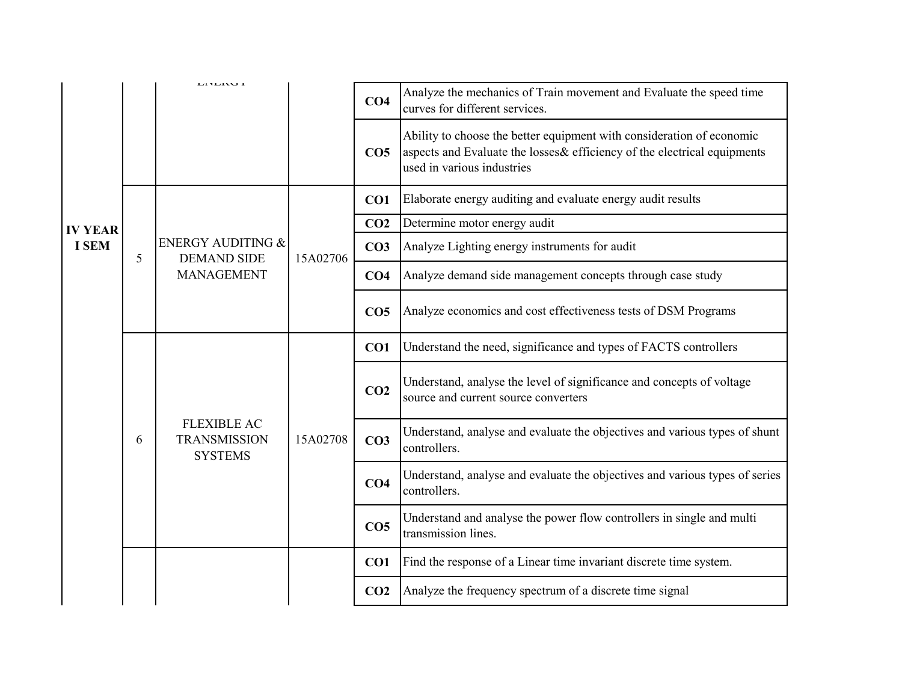|                |   | <b>LITLINU 1</b>                                                                 |          | CO <sub>4</sub> | Analyze the mechanics of Train movement and Evaluate the speed time<br>curves for different services.                                                                            |
|----------------|---|----------------------------------------------------------------------------------|----------|-----------------|----------------------------------------------------------------------------------------------------------------------------------------------------------------------------------|
|                |   |                                                                                  |          | CO <sub>5</sub> | Ability to choose the better equipment with consideration of economic<br>aspects and Evaluate the losses & efficiency of the electrical equipments<br>used in various industries |
|                |   |                                                                                  |          | CO1             | Elaborate energy auditing and evaluate energy audit results                                                                                                                      |
| <b>IV YEAR</b> |   |                                                                                  |          | CO <sub>2</sub> | Determine motor energy audit                                                                                                                                                     |
| <b>I SEM</b>   | 5 | <b>ENERGY AUDITING &amp;</b><br><b>DEMAND SIDE</b>                               | 15A02706 | CO <sub>3</sub> | Analyze Lighting energy instruments for audit                                                                                                                                    |
|                |   | <b>MANAGEMENT</b><br><b>FLEXIBLE AC</b><br><b>TRANSMISSION</b><br><b>SYSTEMS</b> | 15A02708 | CO <sub>4</sub> | Analyze demand side management concepts through case study                                                                                                                       |
|                |   |                                                                                  |          | CO <sub>5</sub> | Analyze economics and cost effectiveness tests of DSM Programs                                                                                                                   |
|                |   |                                                                                  |          | CO1             | Understand the need, significance and types of FACTS controllers                                                                                                                 |
|                |   |                                                                                  |          | CO <sub>2</sub> | Understand, analyse the level of significance and concepts of voltage<br>source and current source converters                                                                    |
|                | 6 |                                                                                  |          | CO <sub>3</sub> | Understand, analyse and evaluate the objectives and various types of shunt<br>controllers.                                                                                       |
|                |   |                                                                                  |          | CO <sub>4</sub> | Understand, analyse and evaluate the objectives and various types of series<br>controllers.                                                                                      |
|                |   |                                                                                  |          | CO <sub>5</sub> | Understand and analyse the power flow controllers in single and multi<br>transmission lines.                                                                                     |
|                |   |                                                                                  |          | CO1             | Find the response of a Linear time invariant discrete time system.                                                                                                               |
|                |   |                                                                                  |          | CO <sub>2</sub> | Analyze the frequency spectrum of a discrete time signal                                                                                                                         |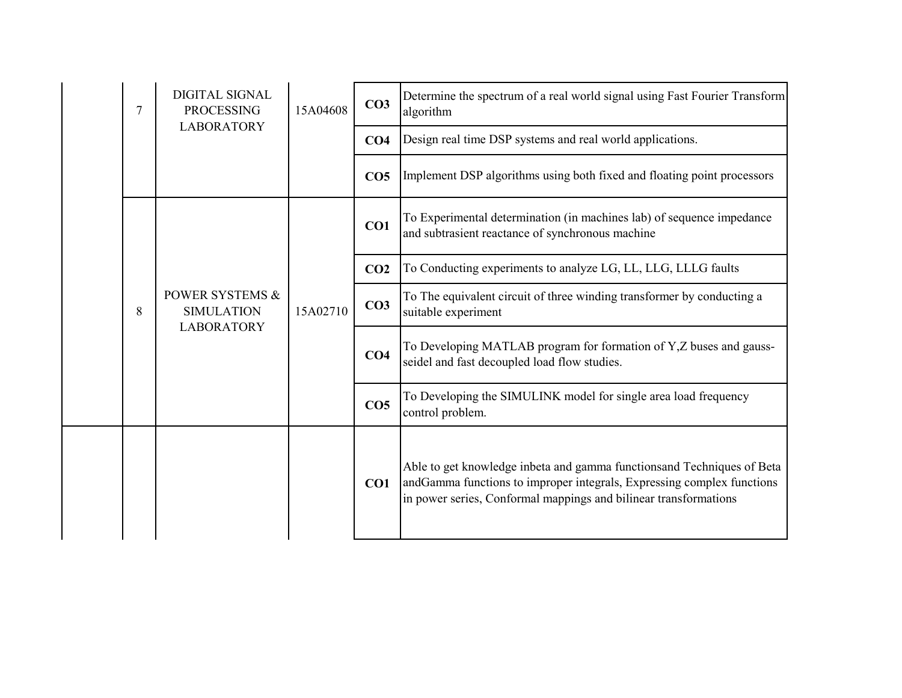|  | 7 | <b>DIGITAL SIGNAL</b><br><b>PROCESSING</b><br><b>LABORATORY</b>      | 15A04608 | CO <sub>3</sub> | Determine the spectrum of a real world signal using Fast Fourier Transform<br>algorithm                                                                                                                              |
|--|---|----------------------------------------------------------------------|----------|-----------------|----------------------------------------------------------------------------------------------------------------------------------------------------------------------------------------------------------------------|
|  |   |                                                                      |          | CO <sub>4</sub> | Design real time DSP systems and real world applications.                                                                                                                                                            |
|  |   |                                                                      |          | CO <sub>5</sub> | Implement DSP algorithms using both fixed and floating point processors                                                                                                                                              |
|  |   |                                                                      |          | CO1             | To Experimental determination (in machines lab) of sequence impedance<br>and subtrasient reactance of synchronous machine                                                                                            |
|  |   |                                                                      |          | CO <sub>2</sub> | To Conducting experiments to analyze LG, LL, LLG, LLLG faults                                                                                                                                                        |
|  | 8 | <b>POWER SYSTEMS &amp;</b><br><b>SIMULATION</b><br><b>LABORATORY</b> | 15A02710 | CO <sub>3</sub> | To The equivalent circuit of three winding transformer by conducting a<br>suitable experiment                                                                                                                        |
|  |   |                                                                      |          | CO <sub>4</sub> | To Developing MATLAB program for formation of Y,Z buses and gauss-<br>seidel and fast decoupled load flow studies.                                                                                                   |
|  |   |                                                                      |          | CO <sub>5</sub> | To Developing the SIMULINK model for single area load frequency<br>control problem.                                                                                                                                  |
|  |   |                                                                      |          | CO1             | Able to get knowledge inbeta and gamma functionsand Techniques of Beta<br>andGamma functions to improper integrals, Expressing complex functions<br>in power series, Conformal mappings and bilinear transformations |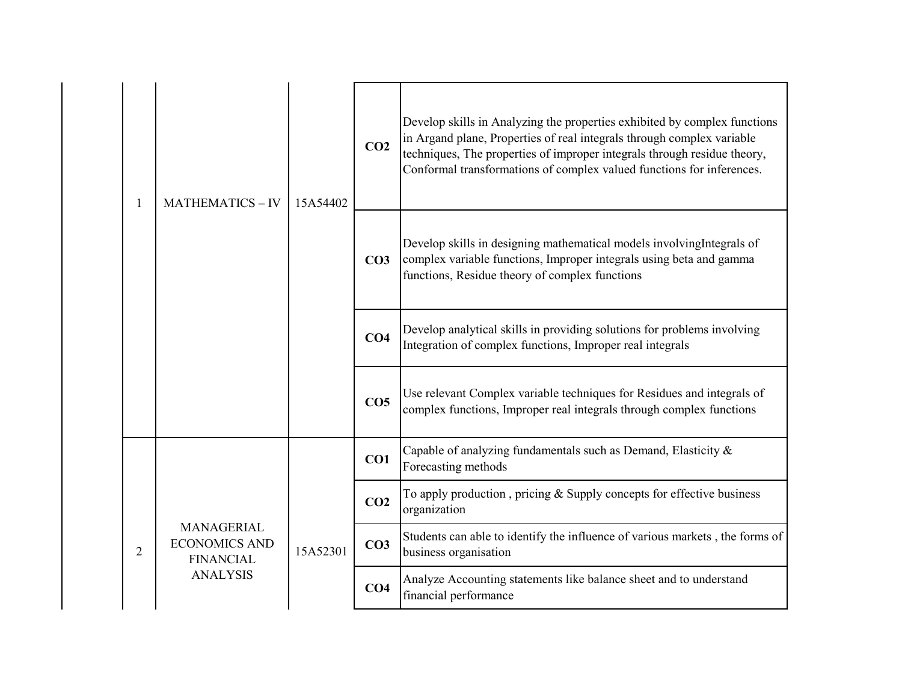|   | <b>MATHEMATICS-IV</b>                                         | 15A54402 | CO <sub>2</sub> | Develop skills in Analyzing the properties exhibited by complex functions<br>in Argand plane, Properties of real integrals through complex variable<br>techniques, The properties of improper integrals through residue theory,<br>Conformal transformations of complex valued functions for inferences. |
|---|---------------------------------------------------------------|----------|-----------------|----------------------------------------------------------------------------------------------------------------------------------------------------------------------------------------------------------------------------------------------------------------------------------------------------------|
|   |                                                               |          | CO <sub>3</sub> | Develop skills in designing mathematical models involving Integrals of<br>complex variable functions, Improper integrals using beta and gamma<br>functions, Residue theory of complex functions                                                                                                          |
|   |                                                               |          | CO <sub>4</sub> | Develop analytical skills in providing solutions for problems involving<br>Integration of complex functions, Improper real integrals                                                                                                                                                                     |
|   |                                                               |          | CO <sub>5</sub> | Use relevant Complex variable techniques for Residues and integrals of<br>complex functions, Improper real integrals through complex functions                                                                                                                                                           |
|   |                                                               |          | CO1             | Capable of analyzing fundamentals such as Demand, Elasticity &<br>Forecasting methods                                                                                                                                                                                                                    |
|   |                                                               | 15A52301 | CO <sub>2</sub> | To apply production, pricing & Supply concepts for effective business<br>organization                                                                                                                                                                                                                    |
| 2 | <b>MANAGERIAL</b><br><b>ECONOMICS AND</b><br><b>FINANCIAL</b> |          | CO <sub>3</sub> | Students can able to identify the influence of various markets, the forms of<br>business organisation                                                                                                                                                                                                    |
|   | <b>ANALYSIS</b>                                               |          | CO <sub>4</sub> | Analyze Accounting statements like balance sheet and to understand<br>financial performance                                                                                                                                                                                                              |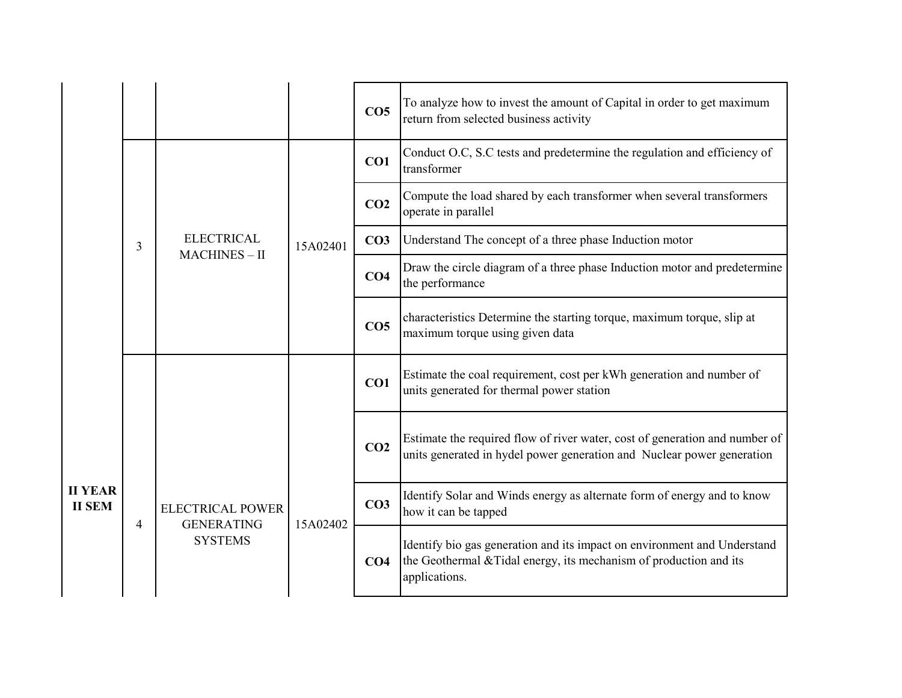|                                 |   |                                              |          | CO <sub>5</sub> | To analyze how to invest the amount of Capital in order to get maximum<br>return from selected business activity                                                |
|---------------------------------|---|----------------------------------------------|----------|-----------------|-----------------------------------------------------------------------------------------------------------------------------------------------------------------|
|                                 |   |                                              |          | CO1             | Conduct O.C, S.C tests and predetermine the regulation and efficiency of<br>transformer                                                                         |
|                                 |   |                                              |          | CO <sub>2</sub> | Compute the load shared by each transformer when several transformers<br>operate in parallel                                                                    |
|                                 | 3 | <b>ELECTRICAL</b><br>$MACHINES - II$         | 15A02401 | CO <sub>3</sub> | Understand The concept of a three phase Induction motor                                                                                                         |
|                                 |   |                                              |          | CO <sub>4</sub> | Draw the circle diagram of a three phase Induction motor and predetermine<br>the performance                                                                    |
|                                 |   |                                              |          | CO <sub>5</sub> | characteristics Determine the starting torque, maximum torque, slip at<br>maximum torque using given data                                                       |
|                                 |   |                                              |          | CO1             | Estimate the coal requirement, cost per kWh generation and number of<br>units generated for thermal power station                                               |
|                                 |   |                                              |          | CO <sub>2</sub> | Estimate the required flow of river water, cost of generation and number of<br>units generated in hydel power generation and Nuclear power generation           |
| <b>II YEAR</b><br><b>II SEM</b> | 4 | <b>ELECTRICAL POWER</b><br><b>GENERATING</b> | 15A02402 | CO <sub>3</sub> | Identify Solar and Winds energy as alternate form of energy and to know<br>how it can be tapped                                                                 |
|                                 |   | <b>SYSTEMS</b>                               |          | CO <sub>4</sub> | Identify bio gas generation and its impact on environment and Understand<br>the Geothermal & Tidal energy, its mechanism of production and its<br>applications. |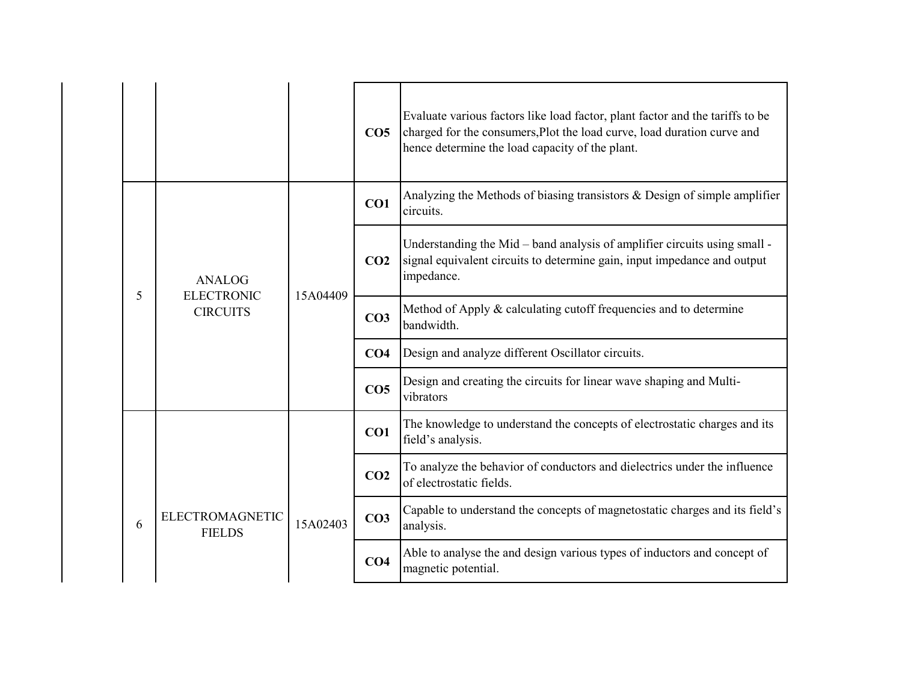|   |                                         |          | CO <sub>5</sub> | Evaluate various factors like load factor, plant factor and the tariffs to be<br>charged for the consumers, Plot the load curve, load duration curve and<br>hence determine the load capacity of the plant. |
|---|-----------------------------------------|----------|-----------------|-------------------------------------------------------------------------------------------------------------------------------------------------------------------------------------------------------------|
|   |                                         |          | CO1             | Analyzing the Methods of biasing transistors $\&$ Design of simple amplifier<br>circuits.                                                                                                                   |
|   | <b>ANALOG</b>                           | 15A04409 | CO <sub>2</sub> | Understanding the Mid - band analysis of amplifier circuits using small -<br>signal equivalent circuits to determine gain, input impedance and output<br>impedance.                                         |
| 5 | <b>ELECTRONIC</b><br><b>CIRCUITS</b>    |          | CO <sub>3</sub> | Method of Apply & calculating cutoff frequencies and to determine<br>bandwidth.                                                                                                                             |
|   |                                         |          | CO <sub>4</sub> | Design and analyze different Oscillator circuits.                                                                                                                                                           |
|   |                                         |          | CO <sub>5</sub> | Design and creating the circuits for linear wave shaping and Multi-<br>vibrators                                                                                                                            |
|   |                                         |          | CO1             | The knowledge to understand the concepts of electrostatic charges and its<br>field's analysis.                                                                                                              |
|   | <b>ELECTROMAGNETIC</b><br><b>FIELDS</b> | 15A02403 | CO <sub>2</sub> | To analyze the behavior of conductors and dielectrics under the influence<br>of electrostatic fields.                                                                                                       |
| 6 |                                         |          | CO <sub>3</sub> | Capable to understand the concepts of magnetostatic charges and its field's<br>analysis.                                                                                                                    |
|   |                                         |          | CO <sub>4</sub> | Able to analyse the and design various types of inductors and concept of<br>magnetic potential.                                                                                                             |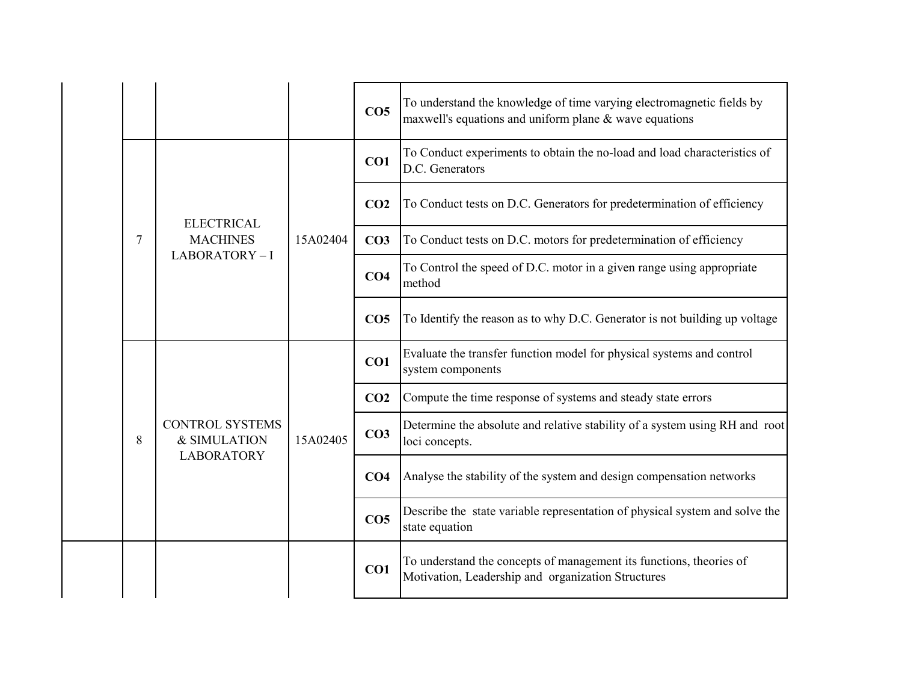|   |                                                             |          | CO <sub>5</sub> | To understand the knowledge of time varying electromagnetic fields by<br>maxwell's equations and uniform plane $\&$ wave equations |
|---|-------------------------------------------------------------|----------|-----------------|------------------------------------------------------------------------------------------------------------------------------------|
|   |                                                             |          | CO1             | To Conduct experiments to obtain the no-load and load characteristics of<br>D.C. Generators                                        |
|   | <b>ELECTRICAL</b>                                           |          | CO <sub>2</sub> | To Conduct tests on D.C. Generators for predetermination of efficiency                                                             |
| 7 | <b>MACHINES</b>                                             | 15A02404 | CO <sub>3</sub> | To Conduct tests on D.C. motors for predetermination of efficiency                                                                 |
|   | LABORATORY-I                                                |          | CO <sub>4</sub> | To Control the speed of D.C. motor in a given range using appropriate<br>method                                                    |
|   |                                                             |          | CO <sub>5</sub> | To Identify the reason as to why D.C. Generator is not building up voltage                                                         |
|   |                                                             | 15A02405 | CO1             | Evaluate the transfer function model for physical systems and control<br>system components                                         |
|   |                                                             |          | CO <sub>2</sub> | Compute the time response of systems and steady state errors                                                                       |
| 8 | <b>CONTROL SYSTEMS</b><br>& SIMULATION<br><b>LABORATORY</b> |          | CO <sub>3</sub> | Determine the absolute and relative stability of a system using RH and root<br>loci concepts.                                      |
|   |                                                             |          | CO <sub>4</sub> | Analyse the stability of the system and design compensation networks                                                               |
|   |                                                             |          | CO <sub>5</sub> | Describe the state variable representation of physical system and solve the<br>state equation                                      |
|   |                                                             |          | CO <sub>1</sub> | To understand the concepts of management its functions, theories of<br>Motivation, Leadership and organization Structures          |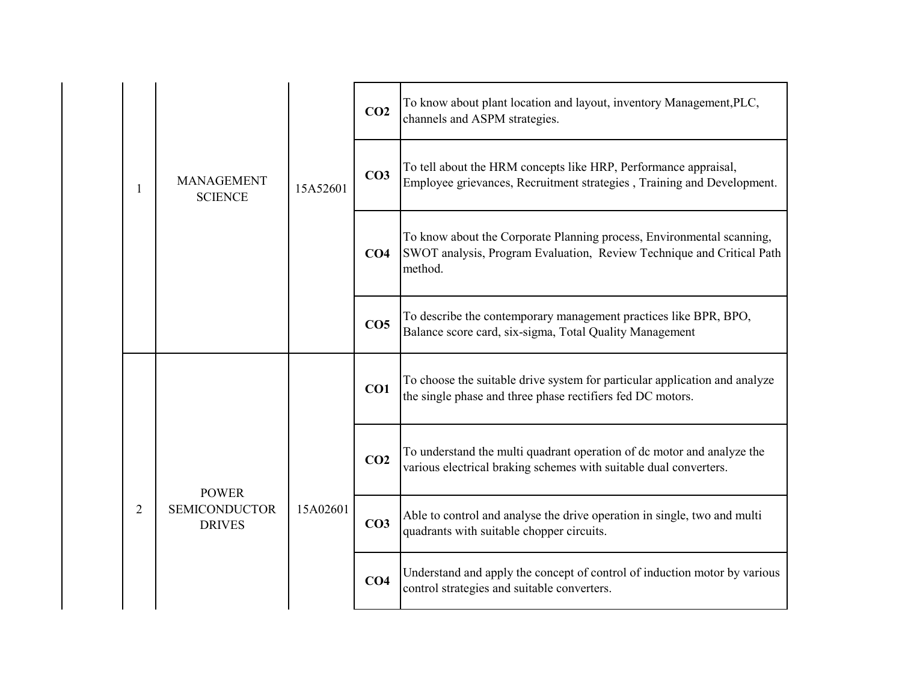|  |   |                                                       | 15A52601 | CO <sub>2</sub> | To know about plant location and layout, inventory Management, PLC,<br>channels and ASPM strategies.                                                      |
|--|---|-------------------------------------------------------|----------|-----------------|-----------------------------------------------------------------------------------------------------------------------------------------------------------|
|  | 1 | <b>MANAGEMENT</b><br><b>SCIENCE</b>                   |          | CO <sub>3</sub> | To tell about the HRM concepts like HRP, Performance appraisal,<br>Employee grievances, Recruitment strategies, Training and Development.                 |
|  |   |                                                       |          | CO <sub>4</sub> | To know about the Corporate Planning process, Environmental scanning,<br>SWOT analysis, Program Evaluation, Review Technique and Critical Path<br>method. |
|  |   |                                                       |          | CO <sub>5</sub> | To describe the contemporary management practices like BPR, BPO,<br>Balance score card, six-sigma, Total Quality Management                               |
|  |   |                                                       |          | CO1             | To choose the suitable drive system for particular application and analyze<br>the single phase and three phase rectifiers fed DC motors.                  |
|  | 2 | <b>POWER</b><br><b>SEMICONDUCTOR</b><br><b>DRIVES</b> | 15A02601 | CO <sub>2</sub> | To understand the multi quadrant operation of dc motor and analyze the<br>various electrical braking schemes with suitable dual converters.               |
|  |   |                                                       |          | CO <sub>3</sub> | Able to control and analyse the drive operation in single, two and multi<br>quadrants with suitable chopper circuits.                                     |
|  |   |                                                       |          | CO <sub>4</sub> | Understand and apply the concept of control of induction motor by various<br>control strategies and suitable converters.                                  |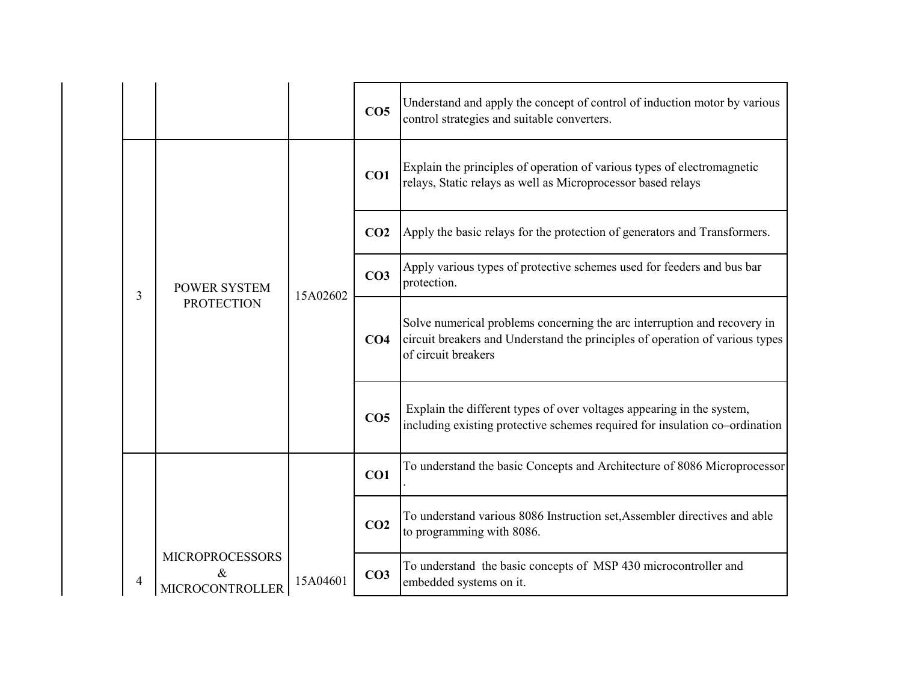|   |                                                          |          | CO <sub>5</sub> | Understand and apply the concept of control of induction motor by various<br>control strategies and suitable converters.                                                        |                                                                                       |
|---|----------------------------------------------------------|----------|-----------------|---------------------------------------------------------------------------------------------------------------------------------------------------------------------------------|---------------------------------------------------------------------------------------|
|   |                                                          |          | CO1             | Explain the principles of operation of various types of electromagnetic<br>relays, Static relays as well as Microprocessor based relays                                         |                                                                                       |
|   |                                                          |          | CO <sub>2</sub> | Apply the basic relays for the protection of generators and Transformers.                                                                                                       |                                                                                       |
| 3 | <b>POWER SYSTEM</b><br><b>PROTECTION</b>                 | 15A02602 |                 | CO <sub>3</sub>                                                                                                                                                                 | Apply various types of protective schemes used for feeders and bus bar<br>protection. |
|   |                                                          |          | CO <sub>4</sub> | Solve numerical problems concerning the arc interruption and recovery in<br>circuit breakers and Understand the principles of operation of various types<br>of circuit breakers |                                                                                       |
|   |                                                          |          | CO <sub>5</sub> | Explain the different types of over voltages appearing in the system,<br>including existing protective schemes required for insulation co-ordination                            |                                                                                       |
|   |                                                          |          | CO1             | To understand the basic Concepts and Architecture of 8086 Microprocessor                                                                                                        |                                                                                       |
|   |                                                          |          | CO <sub>2</sub> | To understand various 8086 Instruction set, Assembler directives and able<br>to programming with 8086.                                                                          |                                                                                       |
| 4 | <b>MICROPROCESSORS</b><br>$\&$<br><b>MICROCONTROLLER</b> | 15A04601 | CO <sub>3</sub> | To understand the basic concepts of MSP 430 microcontroller and<br>embedded systems on it.                                                                                      |                                                                                       |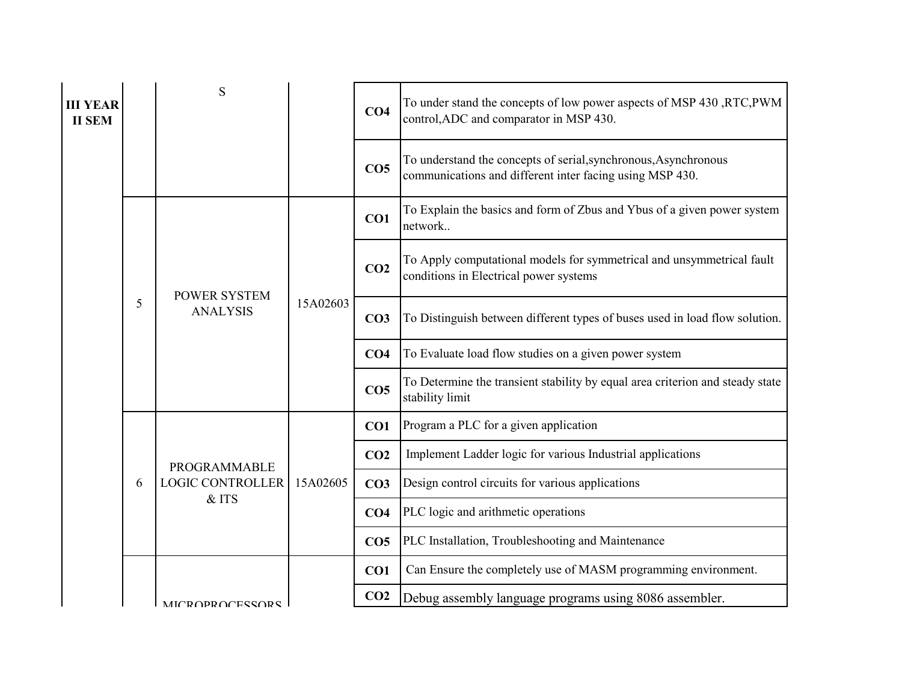| <b>III YEAR</b><br><b>II SEM</b> |   | S                                                       |          | CO <sub>4</sub> | To under stand the concepts of low power aspects of MSP 430, RTC, PWM<br>control, ADC and comparator in MSP 430.            |
|----------------------------------|---|---------------------------------------------------------|----------|-----------------|-----------------------------------------------------------------------------------------------------------------------------|
|                                  |   |                                                         |          | CO <sub>5</sub> | To understand the concepts of serial, synchronous, Asynchronous<br>communications and different inter facing using MSP 430. |
|                                  | 5 |                                                         | 15A02603 | CO1             | To Explain the basics and form of Zbus and Ybus of a given power system<br>network                                          |
|                                  |   | <b>POWER SYSTEM</b><br><b>ANALYSIS</b>                  |          | CO <sub>2</sub> | To Apply computational models for symmetrical and unsymmetrical fault<br>conditions in Electrical power systems             |
|                                  |   |                                                         |          | CO <sub>3</sub> | To Distinguish between different types of buses used in load flow solution.                                                 |
|                                  |   |                                                         |          | CO <sub>4</sub> | To Evaluate load flow studies on a given power system                                                                       |
|                                  |   |                                                         |          | CO <sub>5</sub> | To Determine the transient stability by equal area criterion and steady state<br>stability limit                            |
|                                  |   | <b>PROGRAMMABLE</b><br><b>LOGIC CONTROLLER</b><br>& ITS | 15A02605 | CO1             | Program a PLC for a given application                                                                                       |
|                                  |   |                                                         |          | CO <sub>2</sub> | Implement Ladder logic for various Industrial applications                                                                  |
|                                  | 6 |                                                         |          | CO <sub>3</sub> | Design control circuits for various applications                                                                            |
|                                  |   |                                                         |          | CO <sub>4</sub> | PLC logic and arithmetic operations                                                                                         |
|                                  |   |                                                         |          | CO <sub>5</sub> | PLC Installation, Troubleshooting and Maintenance                                                                           |
|                                  |   |                                                         |          | CO1             | Can Ensure the completely use of MASM programming environment.                                                              |
|                                  |   | <b>MICROPROCESSORS</b>                                  |          | CO <sub>2</sub> | Debug assembly language programs using 8086 assembler.                                                                      |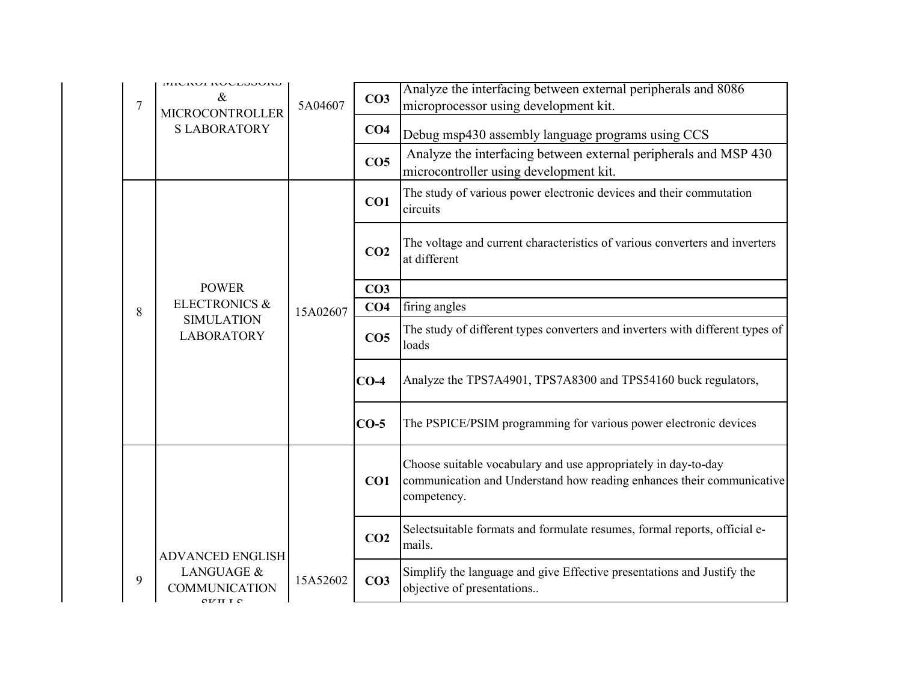| $\overline{7}$ | <b>IMICIVAL TANCEPOARD</b><br>&<br>5A04607<br><b>MICROCONTROLLER</b> |          | CO <sub>3</sub> | Analyze the interfacing between external peripherals and 8086<br>microprocessor using development kit.                                                 |
|----------------|----------------------------------------------------------------------|----------|-----------------|--------------------------------------------------------------------------------------------------------------------------------------------------------|
|                | <b>SLABORATORY</b>                                                   |          | CO <sub>4</sub> | Debug msp430 assembly language programs using CCS                                                                                                      |
|                |                                                                      |          | CO <sub>5</sub> | Analyze the interfacing between external peripherals and MSP 430<br>microcontroller using development kit.                                             |
|                |                                                                      |          | CO1             | The study of various power electronic devices and their commutation<br>circuits                                                                        |
|                |                                                                      |          | CO <sub>2</sub> | The voltage and current characteristics of various converters and inverters<br>at different                                                            |
|                | <b>POWER</b>                                                         |          | CO <sub>3</sub> |                                                                                                                                                        |
| 8              | <b>ELECTRONICS &amp;</b><br><b>SIMULATION</b><br><b>LABORATORY</b>   | 15A02607 | CO <sub>4</sub> | firing angles                                                                                                                                          |
|                |                                                                      |          | CO <sub>5</sub> | The study of different types converters and inverters with different types of<br>loads                                                                 |
|                |                                                                      |          | $CO-4$          | Analyze the TPS7A4901, TPS7A8300 and TPS54160 buck regulators,                                                                                         |
|                |                                                                      |          | $CO-5$          | The PSPICE/PSIM programming for various power electronic devices                                                                                       |
|                |                                                                      |          | CO1             | Choose suitable vocabulary and use appropriately in day-to-day<br>communication and Understand how reading enhances their communicative<br>competency. |
|                | <b>ADVANCED ENGLISH</b>                                              |          | CO <sub>2</sub> | Selectsuitable formats and formulate resumes, formal reports, official e-<br>mails.                                                                    |
| 9              | LANGUAGE &<br><b>COMMUNICATION</b><br>$\alpha$ $\alpha$ $\alpha$     | 15A52602 | CO <sub>3</sub> | Simplify the language and give Effective presentations and Justify the<br>objective of presentations                                                   |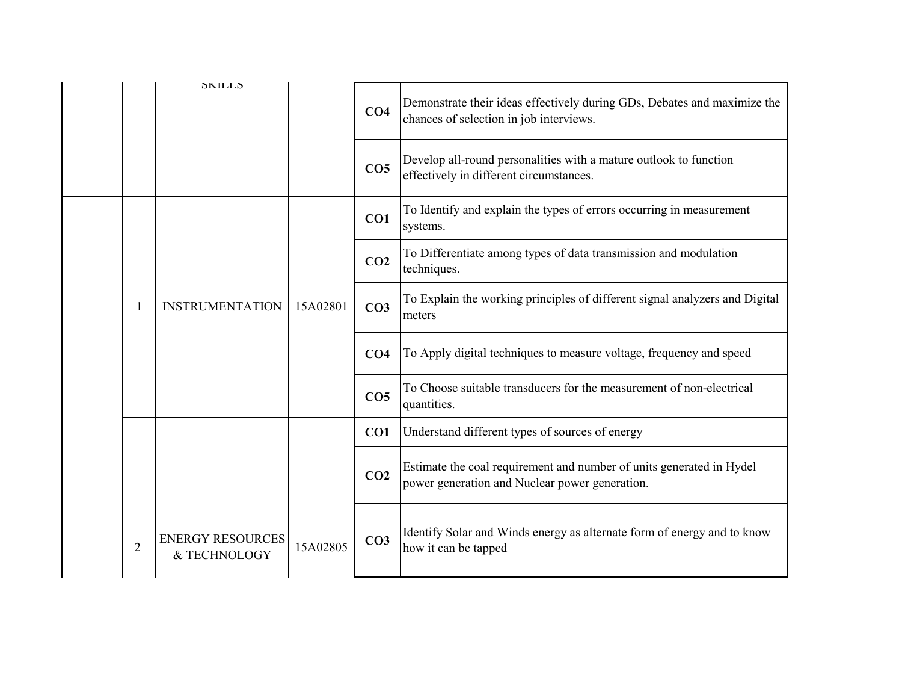|  |                | <b>SKILLS</b>                           |          | CO <sub>4</sub> | Demonstrate their ideas effectively during GDs, Debates and maximize the<br>chances of selection in job interviews.    |
|--|----------------|-----------------------------------------|----------|-----------------|------------------------------------------------------------------------------------------------------------------------|
|  |                |                                         |          | CO <sub>5</sub> | Develop all-round personalities with a mature outlook to function<br>effectively in different circumstances.           |
|  |                |                                         | 15A02801 | CO1             | To Identify and explain the types of errors occurring in measurement<br>systems.                                       |
|  |                | <b>INSTRUMENTATION</b>                  |          | CO <sub>2</sub> | To Differentiate among types of data transmission and modulation<br>techniques.                                        |
|  |                |                                         |          | CO <sub>3</sub> | To Explain the working principles of different signal analyzers and Digital<br>meters                                  |
|  |                |                                         |          | CO <sub>4</sub> | To Apply digital techniques to measure voltage, frequency and speed                                                    |
|  |                |                                         |          | CO <sub>5</sub> | To Choose suitable transducers for the measurement of non-electrical<br>quantities.                                    |
|  |                |                                         |          | CO <sub>1</sub> | Understand different types of sources of energy                                                                        |
|  |                |                                         |          | CO <sub>2</sub> | Estimate the coal requirement and number of units generated in Hydel<br>power generation and Nuclear power generation. |
|  | $\overline{2}$ | <b>ENERGY RESOURCES</b><br>& TECHNOLOGY | 15A02805 | CO <sub>3</sub> | Identify Solar and Winds energy as alternate form of energy and to know<br>how it can be tapped                        |